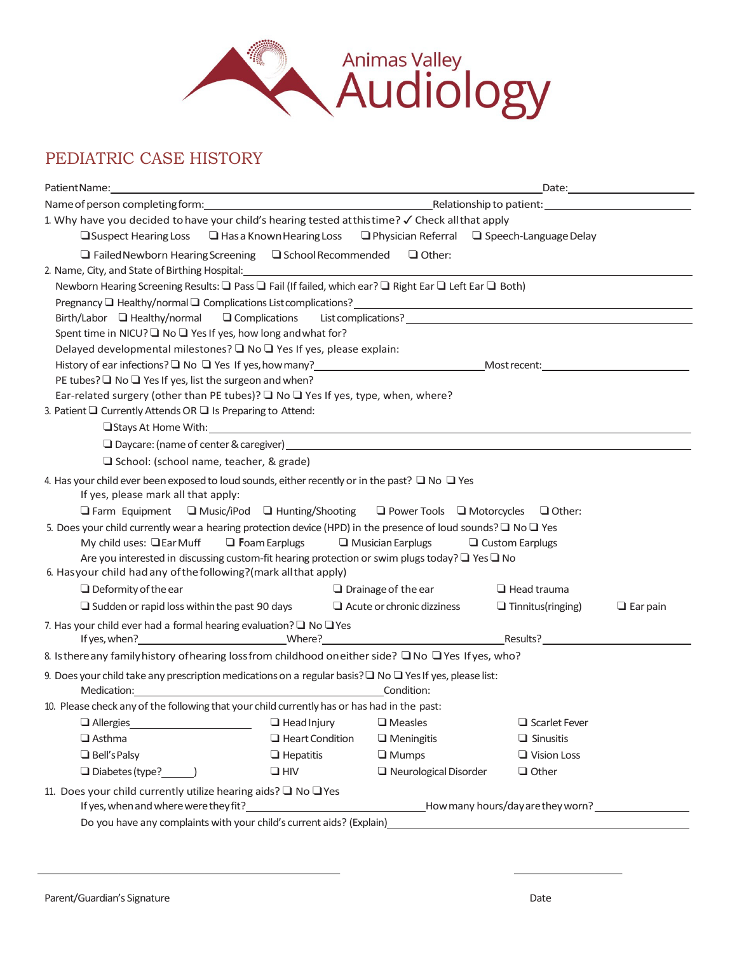

## PEDIATRIC CASE HISTORY

| Patient Name:<br>and the control of the control of the control of the control of the control of the control of the control of the                                                                                             | Date: 2008                                                                                                         |  |  |  |  |  |  |  |
|-------------------------------------------------------------------------------------------------------------------------------------------------------------------------------------------------------------------------------|--------------------------------------------------------------------------------------------------------------------|--|--|--|--|--|--|--|
|                                                                                                                                                                                                                               |                                                                                                                    |  |  |  |  |  |  |  |
| 1. Why have you decided to have your child's hearing tested at this time? √ Check all that apply                                                                                                                              |                                                                                                                    |  |  |  |  |  |  |  |
|                                                                                                                                                                                                                               | $\Box$ Suspect Hearing Loss $\Box$ Has a Known Hearing Loss $\Box$ Physician Referral $\Box$ Speech-Language Delay |  |  |  |  |  |  |  |
| $\Box$ Failed Newborn Hearing Screening $\Box$ School Recommended $\Box$ Other:                                                                                                                                               |                                                                                                                    |  |  |  |  |  |  |  |
|                                                                                                                                                                                                                               |                                                                                                                    |  |  |  |  |  |  |  |
| Newborn Hearing Screening Results: □ Pass □ Fail (If failed, which ear? □ Right Ear □ Left Ear □ Both)                                                                                                                        |                                                                                                                    |  |  |  |  |  |  |  |
|                                                                                                                                                                                                                               |                                                                                                                    |  |  |  |  |  |  |  |
| Birth/Labor $\Box$ Healthy/normal $\Box$ Complications                                                                                                                                                                        |                                                                                                                    |  |  |  |  |  |  |  |
| Spent time in NICU? $\square$ No $\square$ Yes If yes, how long and what for?                                                                                                                                                 |                                                                                                                    |  |  |  |  |  |  |  |
| Delayed developmental milestones? $\square$ No $\square$ Yes If yes, please explain:                                                                                                                                          |                                                                                                                    |  |  |  |  |  |  |  |
|                                                                                                                                                                                                                               |                                                                                                                    |  |  |  |  |  |  |  |
| PE tubes? $\Box$ No $\Box$ Yes If yes, list the surgeon and when?                                                                                                                                                             |                                                                                                                    |  |  |  |  |  |  |  |
| Ear-related surgery (other than PE tubes)? $\Box$ No $\Box$ Yes If yes, type, when, where?                                                                                                                                    |                                                                                                                    |  |  |  |  |  |  |  |
| 3. Patient $\Box$ Currently Attends OR $\Box$ Is Preparing to Attend:                                                                                                                                                         |                                                                                                                    |  |  |  |  |  |  |  |
| Ustays At Home With: 1999 Million Communication of the With Communication of the Million Communication of the Million Communication of the Million Communication of the Million Communication of the Million Communication of |                                                                                                                    |  |  |  |  |  |  |  |
| □ Daycare: (name of center & caregiver) example and a set of the set of the set of the set of the set of the set of the set of the set of the set of the set of the set of the set of the set of the set of the set of the se |                                                                                                                    |  |  |  |  |  |  |  |
| $\Box$ School: (school name, teacher, & grade)                                                                                                                                                                                |                                                                                                                    |  |  |  |  |  |  |  |
| 4. Has your child ever been exposed to loud sounds, either recently or in the past? $\Box$ No $\Box$ Yes<br>If yes, please mark all that apply:                                                                               |                                                                                                                    |  |  |  |  |  |  |  |
| $\Box$ Farm Equipment $\Box$ Music/iPod $\Box$ Hunting/Shooting $\Box$ Power Tools $\Box$ Motorcycles $\Box$ Other:                                                                                                           |                                                                                                                    |  |  |  |  |  |  |  |
| 5. Does your child currently wear a hearing protection device (HPD) in the presence of loud sounds? $\Box$ No $\Box$ Yes                                                                                                      |                                                                                                                    |  |  |  |  |  |  |  |
| My child uses: $\Box$ Ear Muff<br>$\Box$ Foam Earplugs<br>$\Box$ Musician Earplugs<br>Q Custom Earplugs                                                                                                                       |                                                                                                                    |  |  |  |  |  |  |  |
| Are you interested in discussing custom-fit hearing protection or swim plugs today? $\square$ Yes $\square$ No                                                                                                                |                                                                                                                    |  |  |  |  |  |  |  |
| 6. Has your child had any of the following? (mark all that apply)                                                                                                                                                             |                                                                                                                    |  |  |  |  |  |  |  |
| $\Box$ Deformity of the ear                                                                                                                                                                                                   | $\Box$ Drainage of the ear<br>$\Box$ Head trauma                                                                   |  |  |  |  |  |  |  |
| $\Box$ Sudden or rapid loss within the past 90 days $\Box$ Acute or chronic dizziness                                                                                                                                         | $\Box$ Tinnitus(ringing)<br>$\Box$ Ear pain                                                                        |  |  |  |  |  |  |  |
| 7. Has your child ever had a formal hearing evaluation? $\square$ No $\square$ Yes                                                                                                                                            |                                                                                                                    |  |  |  |  |  |  |  |
|                                                                                                                                                                                                                               |                                                                                                                    |  |  |  |  |  |  |  |
| 8. Is there any family history of hearing loss from childhood on either side? $\square$ No $\square$ Yes If yes, who?                                                                                                         |                                                                                                                    |  |  |  |  |  |  |  |
| 9. Does your child take any prescription medications on a regular basis? $\square$ No $\square$ Yes If yes, please list:                                                                                                      |                                                                                                                    |  |  |  |  |  |  |  |
| Medication: Medication:                                                                                                                                                                                                       | Condition:                                                                                                         |  |  |  |  |  |  |  |
| 10. Please check any of the following that your child currently has or has had in the past:                                                                                                                                   |                                                                                                                    |  |  |  |  |  |  |  |
| $\Box$ Head Injury<br>Allergies                                                                                                                                                                                               | $\square$ Measles<br>$\Box$ Scarlet Fever                                                                          |  |  |  |  |  |  |  |
| $\Box$ Asthma<br>$\Box$ Heart Condition                                                                                                                                                                                       | $\Box$ Sinusitis<br>$\Box$ Meningitis                                                                              |  |  |  |  |  |  |  |
| $\Box$ Bell's Palsy<br>$\Box$ Hepatitis                                                                                                                                                                                       | $\Box$ Mumps<br>$\Box$ Vision Loss                                                                                 |  |  |  |  |  |  |  |
| $\Box$ HIV<br>$\Box$ Diabetes (type?                                                                                                                                                                                          | Neurological Disorder<br>$\Box$ Other                                                                              |  |  |  |  |  |  |  |
| 11. Does your child currently utilize hearing aids? $\square$ No $\square$ Yes                                                                                                                                                |                                                                                                                    |  |  |  |  |  |  |  |
| If yes, when and where were they fit?<br>How many hours/day are they worn?<br><u> 1980 - Johann Barbara, martxa alemaniar a</u>                                                                                               |                                                                                                                    |  |  |  |  |  |  |  |
| Do you have any complaints with your child's current aids? (Explain)                                                                                                                                                          |                                                                                                                    |  |  |  |  |  |  |  |